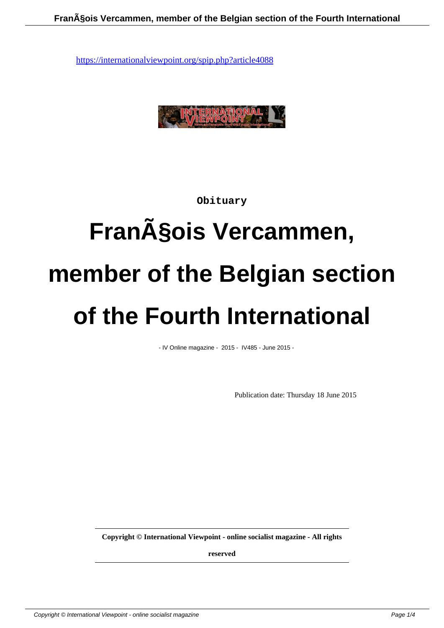

## **Obituary**

# Fran**çois Vercammen, member of the Belgian section of the Fourth International**

- IV Online magazine - 2015 - IV485 - June 2015 -

Publication date: Thursday 18 June 2015

**Copyright © International Viewpoint - online socialist magazine - All rights**

**reserved**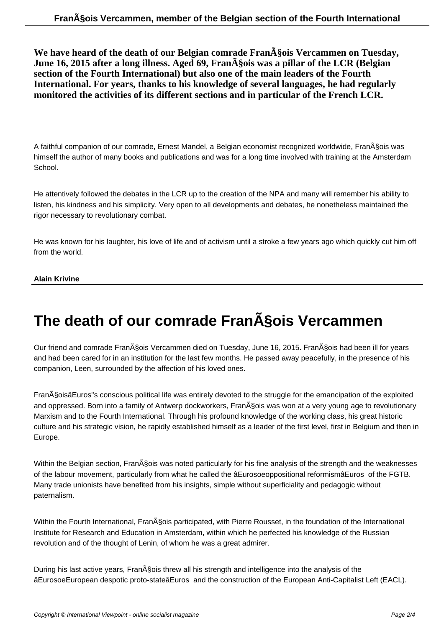We have heard of the death of our Belgian comrade Fran $\tilde{A}$ §ois Vercammen on Tuesday, **June 16, 2015 after a long illness. Aged 69, Fran** $\tilde{A}$ §ois was a pillar of the LCR (Belgian **section of the Fourth International) but also one of the main leaders of the Fourth International. For years, thanks to his knowledge of several languages, he had regularly monitored the activities of its different sections and in particular of the French LCR.**

A faithful companion of our comrade, Ernest Mandel, a Belgian economist recognized worldwide, Fran§ois was himself the author of many books and publications and was for a long time involved with training at the Amsterdam School.

He attentively followed the debates in the LCR up to the creation of the NPA and many will remember his ability to listen, his kindness and his simplicity. Very open to all developments and debates, he nonetheless maintained the rigor necessary to revolutionary combat.

He was known for his laughter, his love of life and of activism until a stroke a few years ago which quickly cut him off from the world.

### **Alain Krivine**

## **The death of our comrade François Vercammen**

Our friend and comrade Fran§ois Vercammen died on Tuesday, June 16, 2015. Fran§ois had been ill for years and had been cared for in an institution for the last few months. He passed away peacefully, in the presence of his companion, Leen, surrounded by the affection of his loved ones.

Fran§oisâEuros"s conscious political life was entirely devoted to the struggle for the emancipation of the exploited and oppressed. Born into a family of Antwerp dockworkers, Fran§ois was won at a very young age to revolutionary Marxism and to the Fourth International. Through his profound knowledge of the working class, his great historic culture and his strategic vision, he rapidly established himself as a leader of the first level, first in Belgium and then in Europe.

Within the Belgian section, FranASois was noted particularly for his fine analysis of the strength and the weaknesses of the labour movement, particularly from what he called the âEurosoeoppositional reformismâEuros of the FGTB. Many trade unionists have benefited from his insights, simple without superficiality and pedagogic without paternalism.

Within the Fourth International, Fran§ois participated, with Pierre Rousset, in the foundation of the International Institute for Research and Education in Amsterdam, within which he perfected his knowledge of the Russian revolution and of the thought of Lenin, of whom he was a great admirer.

During his last active years, Fran§ois threw all his strength and intelligence into the analysis of the âEurosoeEuropean despotic proto-stateâEuros and the construction of the European Anti-Capitalist Left (EACL).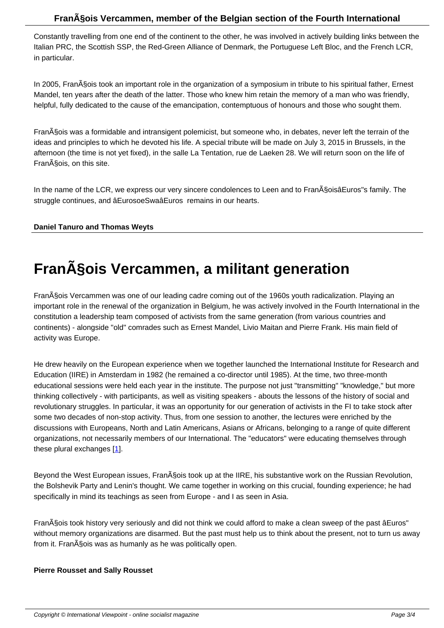Constantly travelling from one end of the continent to the other, he was involved in actively building links between the Italian PRC, the Scottish SSP, the Red-Green Alliance of Denmark, the Portuguese Left Bloc, and the French LCR, in particular.

In 2005, Fran§ois took an important role in the organization of a symposium in tribute to his spiritual father, Ernest Mandel, ten years after the death of the latter. Those who knew him retain the memory of a man who was friendly, helpful, fully dedicated to the cause of the emancipation, contemptuous of honours and those who sought them.

François was a formidable and intransigent polemicist, but someone who, in debates, never left the terrain of the ideas and principles to which he devoted his life. A special tribute will be made on July 3, 2015 in Brussels, in the afternoon (the time is not yet fixed), in the salle La Tentation, rue de Laeken 28. We will return soon on the life of Fran§ois, on this site.

In the name of the LCR, we express our very sincere condolences to Leen and to FranASoisâEuros"s family. The struggle continues, and âEurosoeSwaâEuros remains in our hearts.

### **Daniel Tanuro and Thomas Weyts**

## **François Vercammen, a militant generation**

François Vercammen was one of our leading cadre coming out of the 1960s youth radicalization. Playing an important role in the renewal of the organization in Belgium, he was actively involved in the Fourth International in the constitution a leadership team composed of activists from the same generation (from various countries and continents) - alongside "old" comrades such as Ernest Mandel, Livio Maitan and Pierre Frank. His main field of activity was Europe.

He drew heavily on the European experience when we together launched the International Institute for Research and Education (IIRE) in Amsterdam in 1982 (he remained a co-director until 1985). At the time, two three-month educational sessions were held each year in the institute. The purpose not just "transmitting" "knowledge," but more thinking collectively - with participants, as well as visiting speakers - abouts the lessons of the history of social and revolutionary struggles. In particular, it was an opportunity for our generation of activists in the FI to take stock after some two decades of non-stop activity. Thus, from one session to another, the lectures were enriched by the discussions with Europeans, North and Latin Americans, Asians or Africans, belonging to a range of quite different organizations, not necessarily members of our International. The "educators" were educating themselves through these plural exchanges [1].

Beyond the West European issues, Fran§ois took up at the IIRE, his substantive work on the Russian Revolution, the Bolshevik Party and [Le](#nb1)nin's thought. We came together in working on this crucial, founding experience; he had specifically in mind its teachings as seen from Europe - and I as seen in Asia.

FranA§ois took history very seriously and did not think we could afford to make a clean sweep of the past âEuros" without memory organizations are disarmed. But the past must help us to think about the present, not to turn us away from it. Fran§ois was as humanly as he was politically open.

#### **Pierre Rousset and Sally Rousset**